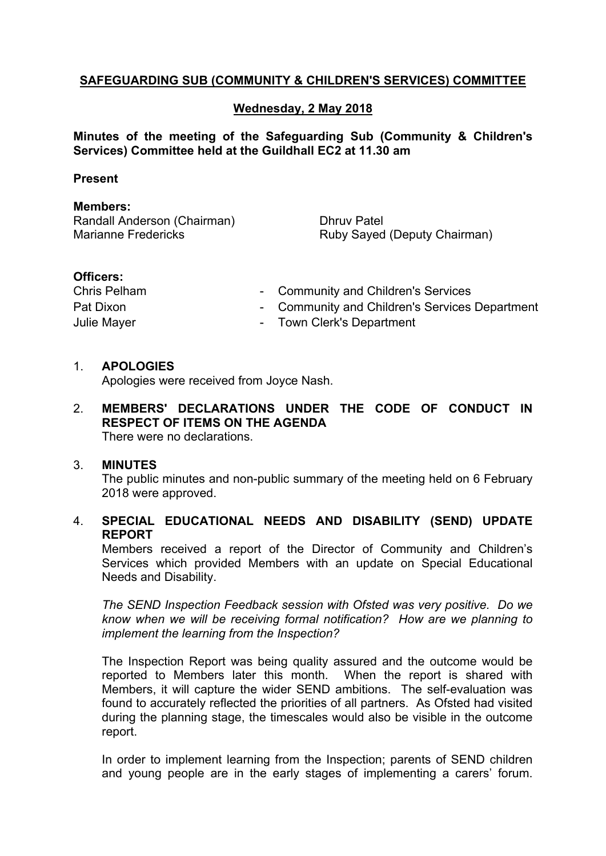# **SAFEGUARDING SUB (COMMUNITY & CHILDREN'S SERVICES) COMMITTEE**

## **Wednesday, 2 May 2018**

#### **Minutes of the meeting of the Safeguarding Sub (Community & Children's Services) Committee held at the Guildhall EC2 at 11.30 am**

#### **Present**

#### **Members:**

Randall Anderson (Chairman) Marianne Fredericks

Dhruv Patel Ruby Sayed (Deputy Chairman)

#### **Officers:**

| Chris Pelham       | - Community and Children's Services            |
|--------------------|------------------------------------------------|
| Pat Dixon          | - Community and Children's Services Department |
| <b>Julie Mayer</b> | - Town Clerk's Department                      |

#### 1. **APOLOGIES**

Apologies were received from Joyce Nash.

2. **MEMBERS' DECLARATIONS UNDER THE CODE OF CONDUCT IN RESPECT OF ITEMS ON THE AGENDA** There were no declarations.

#### 3. **MINUTES**

The public minutes and non-public summary of the meeting held on 6 February 2018 were approved.

## 4. **SPECIAL EDUCATIONAL NEEDS AND DISABILITY (SEND) UPDATE REPORT**

Members received a report of the Director of Community and Children's Services which provided Members with an update on Special Educational Needs and Disability.

*The SEND Inspection Feedback session with Ofsted was very positive. Do we know when we will be receiving formal notification? How are we planning to implement the learning from the Inspection?*

The Inspection Report was being quality assured and the outcome would be reported to Members later this month. When the report is shared with Members, it will capture the wider SEND ambitions. The self-evaluation was found to accurately reflected the priorities of all partners. As Ofsted had visited during the planning stage, the timescales would also be visible in the outcome report.

In order to implement learning from the Inspection; parents of SEND children and young people are in the early stages of implementing a carers' forum.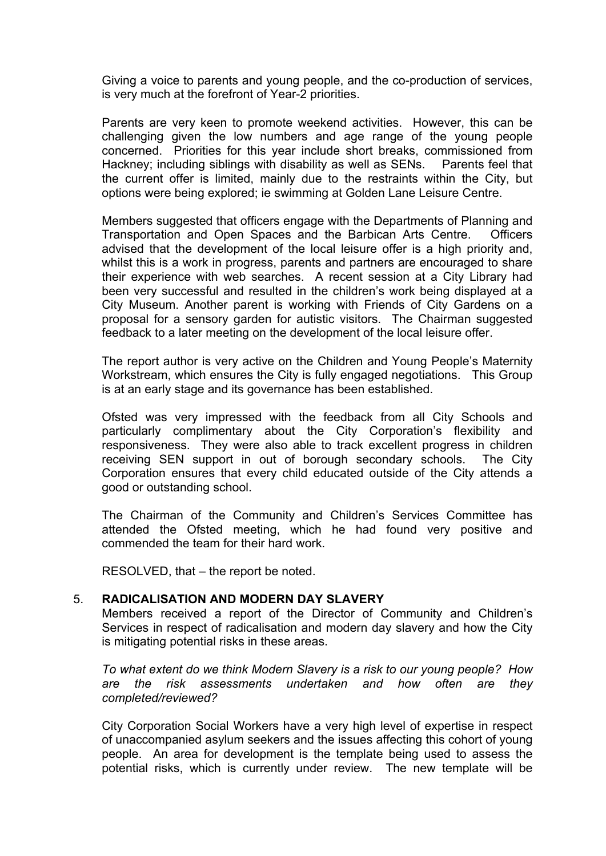Giving a voice to parents and young people, and the co-production of services, is very much at the forefront of Year-2 priorities.

Parents are very keen to promote weekend activities. However, this can be challenging given the low numbers and age range of the young people concerned. Priorities for this year include short breaks, commissioned from Hackney; including siblings with disability as well as SENs. Parents feel that the current offer is limited, mainly due to the restraints within the City, but options were being explored; ie swimming at Golden Lane Leisure Centre.

Members suggested that officers engage with the Departments of Planning and Transportation and Open Spaces and the Barbican Arts Centre. Officers advised that the development of the local leisure offer is a high priority and, whilst this is a work in progress, parents and partners are encouraged to share their experience with web searches. A recent session at a City Library had been very successful and resulted in the children's work being displayed at a City Museum. Another parent is working with Friends of City Gardens on a proposal for a sensory garden for autistic visitors. The Chairman suggested feedback to a later meeting on the development of the local leisure offer.

The report author is very active on the Children and Young People's Maternity Workstream, which ensures the City is fully engaged negotiations. This Group is at an early stage and its governance has been established.

Ofsted was very impressed with the feedback from all City Schools and particularly complimentary about the City Corporation's flexibility and responsiveness. They were also able to track excellent progress in children receiving SEN support in out of borough secondary schools. The City Corporation ensures that every child educated outside of the City attends a good or outstanding school.

The Chairman of the Community and Children's Services Committee has attended the Ofsted meeting, which he had found very positive and commended the team for their hard work.

RESOLVED, that – the report be noted.

#### 5. **RADICALISATION AND MODERN DAY SLAVERY**

Members received a report of the Director of Community and Children's Services in respect of radicalisation and modern day slavery and how the City is mitigating potential risks in these areas.

*To what extent do we think Modern Slavery is a risk to our young people? How are the risk assessments undertaken and how often are they completed/reviewed?*

City Corporation Social Workers have a very high level of expertise in respect of unaccompanied asylum seekers and the issues affecting this cohort of young people. An area for development is the template being used to assess the potential risks, which is currently under review. The new template will be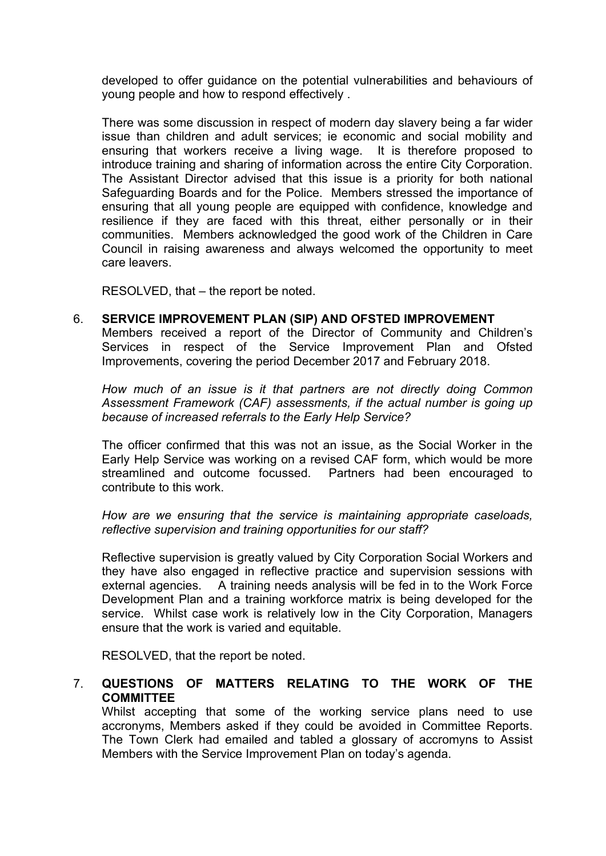developed to offer guidance on the potential vulnerabilities and behaviours of young people and how to respond effectively .

There was some discussion in respect of modern day slavery being a far wider issue than children and adult services; ie economic and social mobility and ensuring that workers receive a living wage. It is therefore proposed to introduce training and sharing of information across the entire City Corporation. The Assistant Director advised that this issue is a priority for both national Safeguarding Boards and for the Police. Members stressed the importance of ensuring that all young people are equipped with confidence, knowledge and resilience if they are faced with this threat, either personally or in their communities. Members acknowledged the good work of the Children in Care Council in raising awareness and always welcomed the opportunity to meet care leavers.

RESOLVED, that – the report be noted.

6. **SERVICE IMPROVEMENT PLAN (SIP) AND OFSTED IMPROVEMENT**

Members received a report of the Director of Community and Children's Services in respect of the Service Improvement Plan and Ofsted Improvements, covering the period December 2017 and February 2018.

*How much of an issue is it that partners are not directly doing Common Assessment Framework (CAF) assessments, if the actual number is going up because of increased referrals to the Early Help Service?*

The officer confirmed that this was not an issue, as the Social Worker in the Early Help Service was working on a revised CAF form, which would be more streamlined and outcome focussed. Partners had been encouraged to contribute to this work.

*How are we ensuring that the service is maintaining appropriate caseloads, reflective supervision and training opportunities for our staff?*

Reflective supervision is greatly valued by City Corporation Social Workers and they have also engaged in reflective practice and supervision sessions with external agencies. A training needs analysis will be fed in to the Work Force Development Plan and a training workforce matrix is being developed for the service. Whilst case work is relatively low in the City Corporation, Managers ensure that the work is varied and equitable.

RESOLVED, that the report be noted.

## 7. **QUESTIONS OF MATTERS RELATING TO THE WORK OF THE COMMITTEE**

Whilst accepting that some of the working service plans need to use accronyms, Members asked if they could be avoided in Committee Reports. The Town Clerk had emailed and tabled a glossary of accromyns to Assist Members with the Service Improvement Plan on today's agenda.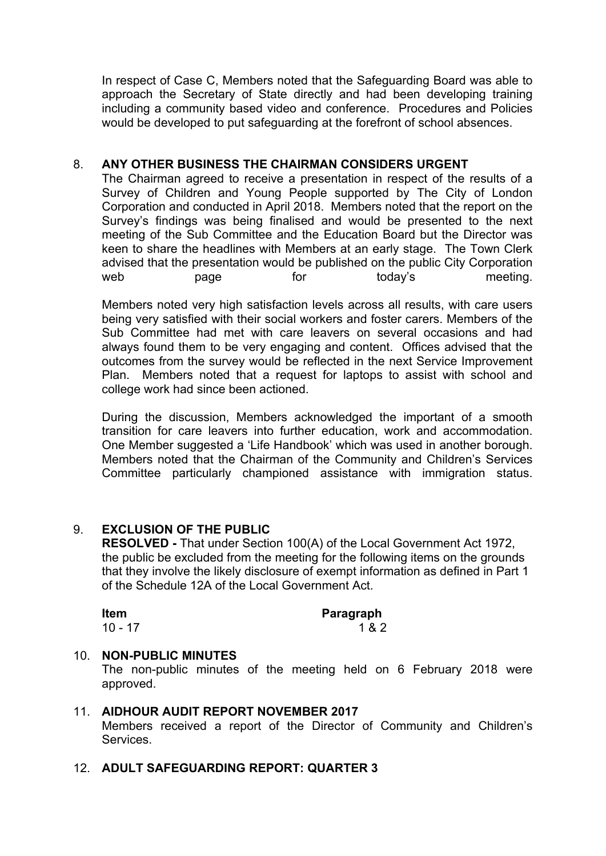In respect of Case C, Members noted that the Safeguarding Board was able to approach the Secretary of State directly and had been developing training including a community based video and conference. Procedures and Policies would be developed to put safeguarding at the forefront of school absences.

## 8. **ANY OTHER BUSINESS THE CHAIRMAN CONSIDERS URGENT**

The Chairman agreed to receive a presentation in respect of the results of a Survey of Children and Young People supported by The City of London Corporation and conducted in April 2018. Members noted that the report on the Survey's findings was being finalised and would be presented to the next meeting of the Sub Committee and the Education Board but the Director was keen to share the headlines with Members at an early stage. The Town Clerk advised that the presentation would be published on the public City Corporation web page for today's meeting.

Members noted very high satisfaction levels across all results, with care users being very satisfied with their social workers and foster carers. Members of the Sub Committee had met with care leavers on several occasions and had always found them to be very engaging and content. Offices advised that the outcomes from the survey would be reflected in the next Service Improvement Plan. Members noted that a request for laptops to assist with school and college work had since been actioned.

During the discussion, Members acknowledged the important of a smooth transition for care leavers into further education, work and accommodation. One Member suggested a 'Life Handbook' which was used in another borough. Members noted that the Chairman of the Community and Children's Services Committee particularly championed assistance with immigration status.

## 9. **EXCLUSION OF THE PUBLIC**

**RESOLVED -** That under Section 100(A) of the Local Government Act 1972, the public be excluded from the meeting for the following items on the grounds that they involve the likely disclosure of exempt information as defined in Part 1 of the Schedule 12A of the Local Government Act.

| Item      | Paragraph |
|-----------|-----------|
| $10 - 17$ | 1 & 2     |

## 10. **NON-PUBLIC MINUTES**

The non-public minutes of the meeting held on 6 February 2018 were approved.

11. **AIDHOUR AUDIT REPORT NOVEMBER 2017** Members received a report of the Director of Community and Children's Services.

## 12. **ADULT SAFEGUARDING REPORT: QUARTER 3**